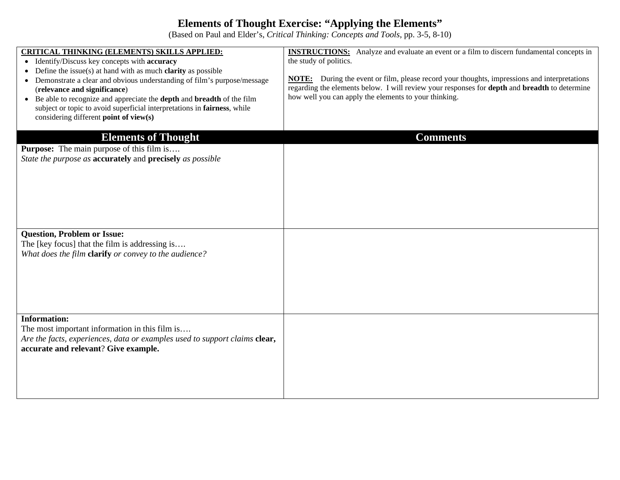## **Elements of Thought Exercise: "Applying the Elements"**

(Based on Paul and Elder's, *Critical Thinking: Concepts and Tools*, pp. 3-5, 8-10)

| <b>CRITICAL THINKING (ELEMENTS) SKILLS APPLIED:</b><br>• Identify/Discuss key concepts with accuracy<br>Define the issue(s) at hand with as much <b>clarity</b> as possible<br>Demonstrate a clear and obvious understanding of film's purpose/message<br>$\bullet$<br>(relevance and significance)<br>• Be able to recognize and appreciate the <b>depth</b> and <b>breadth</b> of the film<br>subject or topic to avoid superficial interpretations in fairness, while<br>considering different point of view(s) | <b>INSTRUCTIONS:</b> Analyze and evaluate an event or a film to discern fundamental concepts in<br>the study of politics.<br>During the event or film, please record your thoughts, impressions and interpretations<br>NOTE:<br>regarding the elements below. I will review your responses for <b>depth</b> and <b>breadth</b> to determine<br>how well you can apply the elements to your thinking. |
|--------------------------------------------------------------------------------------------------------------------------------------------------------------------------------------------------------------------------------------------------------------------------------------------------------------------------------------------------------------------------------------------------------------------------------------------------------------------------------------------------------------------|------------------------------------------------------------------------------------------------------------------------------------------------------------------------------------------------------------------------------------------------------------------------------------------------------------------------------------------------------------------------------------------------------|
| <b>Elements of Thought</b><br><b>Purpose:</b> The main purpose of this film is<br>State the purpose as <b>accurately</b> and <b>precisely</b> as possible                                                                                                                                                                                                                                                                                                                                                          | <b>Comments</b>                                                                                                                                                                                                                                                                                                                                                                                      |
| <b>Question, Problem or Issue:</b><br>The [key focus] that the film is addressing is<br>What does the film clarify or convey to the audience?                                                                                                                                                                                                                                                                                                                                                                      |                                                                                                                                                                                                                                                                                                                                                                                                      |
| <b>Information:</b><br>The most important information in this film is<br>Are the facts, experiences, data or examples used to support claims clear,<br>accurate and relevant? Give example.                                                                                                                                                                                                                                                                                                                        |                                                                                                                                                                                                                                                                                                                                                                                                      |